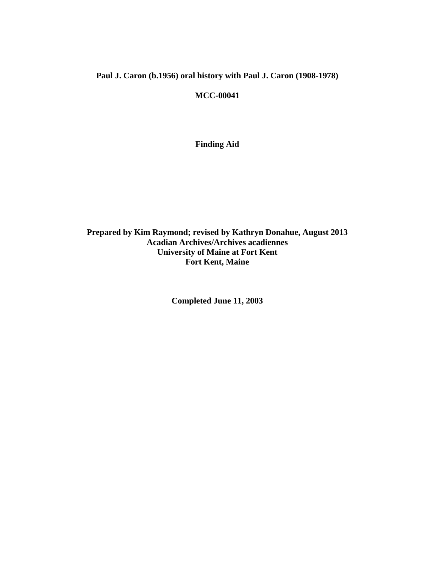# **Paul J. Caron (b.1956) oral history with Paul J. Caron (1908-1978)**

**MCC-00041** 

**Finding Aid** 

**Prepared by Kim Raymond; revised by Kathryn Donahue, August 2013 Acadian Archives/Archives acadiennes University of Maine at Fort Kent Fort Kent, Maine** 

**Completed June 11, 2003**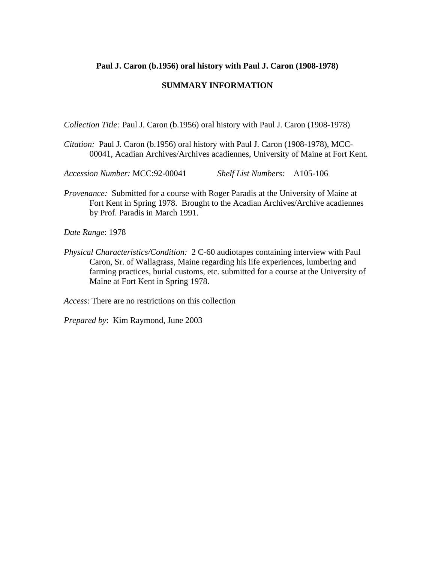### **Paul J. Caron (b.1956) oral history with Paul J. Caron (1908-1978)**

### **SUMMARY INFORMATION**

*Collection Title:* Paul J. Caron (b.1956) oral history with Paul J. Caron (1908-1978)

*Citation:* Paul J. Caron (b.1956) oral history with Paul J. Caron (1908-1978), MCC-00041, Acadian Archives/Archives acadiennes, University of Maine at Fort Kent.

*Accession Number:* MCC:92-00041 *Shelf List Numbers:* A105-106

*Provenance:* Submitted for a course with Roger Paradis at the University of Maine at Fort Kent in Spring 1978. Brought to the Acadian Archives/Archive acadiennes by Prof. Paradis in March 1991.

*Date Range*: 1978

*Physical Characteristics/Condition:* 2 C-60 audiotapes containing interview with Paul Caron, Sr. of Wallagrass, Maine regarding his life experiences, lumbering and farming practices, burial customs, etc. submitted for a course at the University of Maine at Fort Kent in Spring 1978.

*Access*: There are no restrictions on this collection

*Prepared by*: Kim Raymond, June 2003